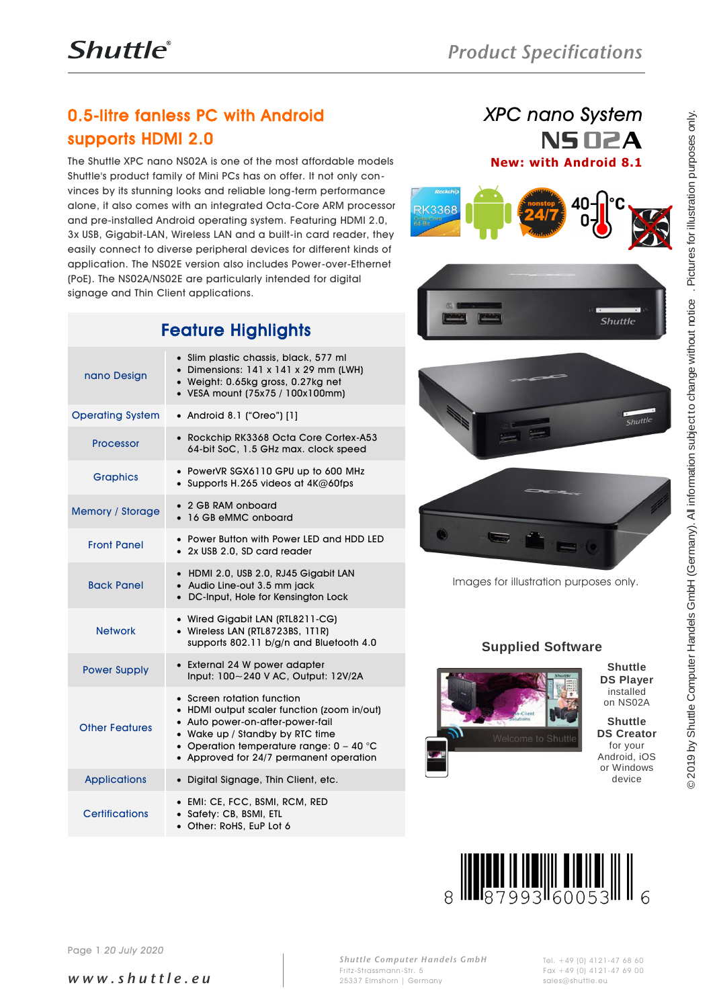# 0.5-litre fanless PC with Android supports HDMI 2.0

### *XPC nano System* NS 02A **New: with Android 8.1**





# Feature Highlights

|                                       | <b>U.5-lifre fanless PC with Android</b>                                                                                                                                                                                                                                                                                                                                                                                                                                                                                                                                                                                         | XPC nano system                                                                                                                                                                                                                     |  |  |
|---------------------------------------|----------------------------------------------------------------------------------------------------------------------------------------------------------------------------------------------------------------------------------------------------------------------------------------------------------------------------------------------------------------------------------------------------------------------------------------------------------------------------------------------------------------------------------------------------------------------------------------------------------------------------------|-------------------------------------------------------------------------------------------------------------------------------------------------------------------------------------------------------------------------------------|--|--|
| supports HDMI 2.0                     |                                                                                                                                                                                                                                                                                                                                                                                                                                                                                                                                                                                                                                  | NS OZA                                                                                                                                                                                                                              |  |  |
| signage and Thin Client applications. | The Shuttle XPC nano NS02A is one of the most affordable models<br>Shuttle's product family of Mini PCs has on offer. It not only con-<br>vinces by its stunning looks and reliable long-term performance<br>alone, it also comes with an integrated Octa-Core ARM processor<br>and pre-installed Android operating system. Featuring HDMI 2.0,<br>3x USB, Gigabit-LAN, Wireless LAN and a built-in card reader, they<br>easily connect to diverse peripheral devices for different kinds of<br>application. The NS02E version also includes Power-over-Ethernet<br>(PoE). The NS02A/NS02E are particularly intended for digital | . Pictures for illustration purposes only.<br><b>New: with Android 8.1</b><br>RK3368                                                                                                                                                |  |  |
|                                       | <b>Feature Highlights</b>                                                                                                                                                                                                                                                                                                                                                                                                                                                                                                                                                                                                        | <b>Shuttle</b>                                                                                                                                                                                                                      |  |  |
| nano Design                           | • Slim plastic chassis, black, 577 ml<br>• Dimensions: $141 \times 141 \times 29$ mm (LWH)<br>• Weight: 0.65kg gross, 0.27kg net<br>• VESA mount (75x75 / 100x100mm)                                                                                                                                                                                                                                                                                                                                                                                                                                                             |                                                                                                                                                                                                                                     |  |  |
| <b>Operating System</b>               | • Android 8.1 ("Oreo") [1]                                                                                                                                                                                                                                                                                                                                                                                                                                                                                                                                                                                                       | Shuttle                                                                                                                                                                                                                             |  |  |
| <b>Processor</b>                      | • Rockchip RK3368 Octa Core Cortex-A53<br>64-bit SoC, 1.5 GHz max. clock speed                                                                                                                                                                                                                                                                                                                                                                                                                                                                                                                                                   |                                                                                                                                                                                                                                     |  |  |
| <b>Graphics</b>                       | • PowerVR SGX6110 GPU up to 600 MHz<br>• Supports H.265 videos at $4K@60$ fps                                                                                                                                                                                                                                                                                                                                                                                                                                                                                                                                                    |                                                                                                                                                                                                                                     |  |  |
| <b>Memory / Storage</b>               | • 2 GB RAM onboard<br>• 16 GB eMMC onboard                                                                                                                                                                                                                                                                                                                                                                                                                                                                                                                                                                                       |                                                                                                                                                                                                                                     |  |  |
| <b>Front Panel</b>                    | • Power Button with Power LED and HDD LED<br>• 2x USB 2.0, SD card reader                                                                                                                                                                                                                                                                                                                                                                                                                                                                                                                                                        |                                                                                                                                                                                                                                     |  |  |
| <b>Back Panel</b>                     | • HDMI 2.0, USB 2.0, RJ45 Gigabit LAN<br>• Audio Line-out 3.5 mm jack<br>• DC-Input, Hole for Kensington Lock                                                                                                                                                                                                                                                                                                                                                                                                                                                                                                                    | Images for illustration purposes only.                                                                                                                                                                                              |  |  |
| <b>Network</b>                        | • Wired Gigabit LAN (RTL8211-CG)<br>• Wireless LAN (RTL8723BS, 1T1R)<br>supports 802.11 b/g/n and Bluetooth 4.0                                                                                                                                                                                                                                                                                                                                                                                                                                                                                                                  | <b>Supplied Software</b>                                                                                                                                                                                                            |  |  |
| <b>Power Supply</b>                   | • External 24 W power adapter<br>Input: 100~240 V AC, Output: 12V/2A                                                                                                                                                                                                                                                                                                                                                                                                                                                                                                                                                             | <b>Shuttle</b><br><b>DS Player</b>                                                                                                                                                                                                  |  |  |
| <b>Other Features</b>                 | • Screen rotation function<br>• HDMI output scaler function (zoom in/out)<br>• Auto power-on-after-power-fail<br>• Wake up / Standby by RTC time<br>• Operation temperature range: $0 - 40$ °C<br>• Approved for 24/7 permanent operation                                                                                                                                                                                                                                                                                                                                                                                        | © 2019 by Shuttle Computer Handels GmbH (Germany). All information subject to change without notice<br>installed<br>on NS02A<br><b>Shuttle</b><br><b>DS Creator</b><br>Welcome to Shuttle<br>for your<br>Android, iOS<br>or Windows |  |  |
| <b>Applications</b>                   | • Digital Signage, Thin Client, etc.                                                                                                                                                                                                                                                                                                                                                                                                                                                                                                                                                                                             | device                                                                                                                                                                                                                              |  |  |
| <b>Certifications</b>                 | • EMI: CE, FCC, BSMI, RCM, RED<br>• Safety: CB, BSMI, ETL<br>• Other: RoHS, EuP Lot 6                                                                                                                                                                                                                                                                                                                                                                                                                                                                                                                                            |                                                                                                                                                                                                                                     |  |  |
|                                       |                                                                                                                                                                                                                                                                                                                                                                                                                                                                                                                                                                                                                                  |                                                                                                                                                                                                                                     |  |  |
| Page 1 20 July 2020                   |                                                                                                                                                                                                                                                                                                                                                                                                                                                                                                                                                                                                                                  |                                                                                                                                                                                                                                     |  |  |





#### **Supplied Software**





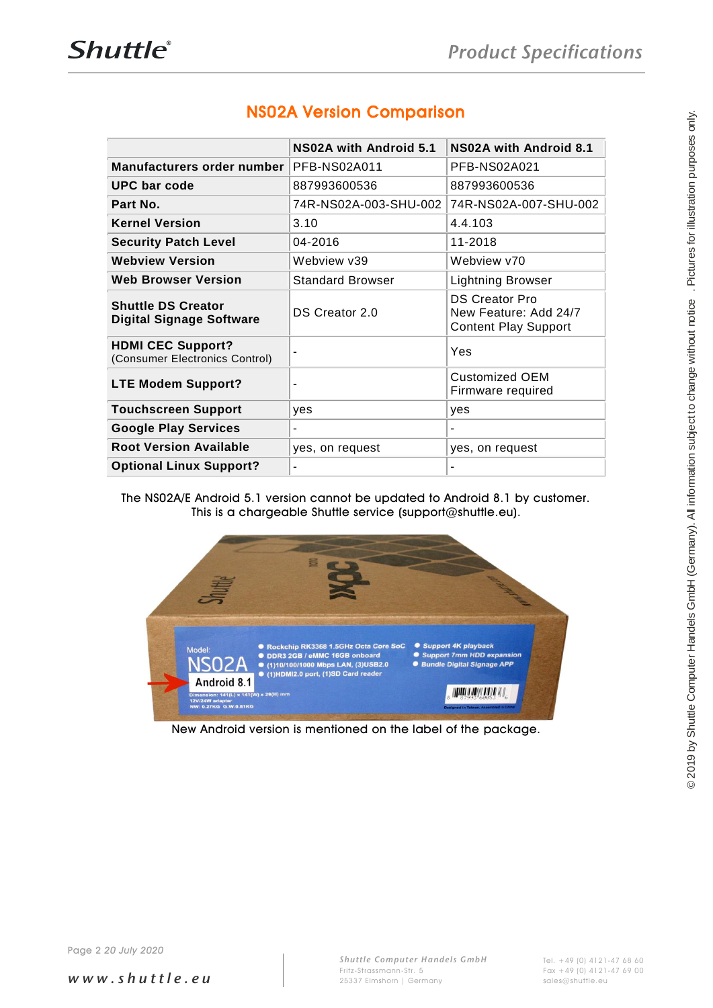| PFB-NS02A011<br>PFB-NS02A021<br>887993600536<br>887993600536<br>74R-NS02A-003-SHU-002 74R-NS02A-007-SHU-002<br>3.10<br>4.4.103<br>04-2016<br>11-2018<br>Webview v39<br>Webview v70<br><b>Standard Browser</b><br><b>Lightning Browser</b><br><b>DS Creator Pro</b><br>DS Creator 2.0<br>New Feature: Add 24/7<br><b>Content Play Support</b><br>Yes<br><b>Customized OEM</b><br>Firmware required<br>yes<br>yes<br><b>Google Play Services</b><br><b>Root Version Available</b><br>yes, on request<br>yes, on request<br><b>Optional Linux Support?</b><br>The NS02A/E Android 5.1 version cannot be updated to Android 8.1 by customer.<br>This is a chargeable Shuttle service (support@shuttle.eu).<br>Support 4K playback<br>Rockchip RK3368 1.5GHz Octa Core SoC<br><b>ODR3 2GB / eMMC 16GB onboard</b><br>Support 7mm HDD expansion<br>● (1)10/100/1000 Mbps LAN, (3)USB2.0<br><b>• Bundle Digital Signage APP</b><br>● (1)HDMI2.0 port, (1)SD Card reader<br>Android 8.1<br><b>THE REAL PROPERTY AND A</b><br>Dimension: 141(L) x 141(W) x 29(H) mm<br>12V/24W adapter<br>NW: 0.27KG G.W:0.81KG<br>New Android version is mentioned on the label of the package. |                                                              | NS02A with Android 5.1 | NS02A with Android 8.1 |
|-------------------------------------------------------------------------------------------------------------------------------------------------------------------------------------------------------------------------------------------------------------------------------------------------------------------------------------------------------------------------------------------------------------------------------------------------------------------------------------------------------------------------------------------------------------------------------------------------------------------------------------------------------------------------------------------------------------------------------------------------------------------------------------------------------------------------------------------------------------------------------------------------------------------------------------------------------------------------------------------------------------------------------------------------------------------------------------------------------------------------------------------------------------------------|--------------------------------------------------------------|------------------------|------------------------|
|                                                                                                                                                                                                                                                                                                                                                                                                                                                                                                                                                                                                                                                                                                                                                                                                                                                                                                                                                                                                                                                                                                                                                                         | Manufacturers order number                                   |                        |                        |
|                                                                                                                                                                                                                                                                                                                                                                                                                                                                                                                                                                                                                                                                                                                                                                                                                                                                                                                                                                                                                                                                                                                                                                         | <b>UPC bar code</b>                                          |                        |                        |
|                                                                                                                                                                                                                                                                                                                                                                                                                                                                                                                                                                                                                                                                                                                                                                                                                                                                                                                                                                                                                                                                                                                                                                         | Part No.                                                     |                        |                        |
|                                                                                                                                                                                                                                                                                                                                                                                                                                                                                                                                                                                                                                                                                                                                                                                                                                                                                                                                                                                                                                                                                                                                                                         | <b>Kernel Version</b>                                        |                        |                        |
|                                                                                                                                                                                                                                                                                                                                                                                                                                                                                                                                                                                                                                                                                                                                                                                                                                                                                                                                                                                                                                                                                                                                                                         | <b>Security Patch Level</b>                                  |                        |                        |
|                                                                                                                                                                                                                                                                                                                                                                                                                                                                                                                                                                                                                                                                                                                                                                                                                                                                                                                                                                                                                                                                                                                                                                         | <b>Webview Version</b>                                       |                        |                        |
|                                                                                                                                                                                                                                                                                                                                                                                                                                                                                                                                                                                                                                                                                                                                                                                                                                                                                                                                                                                                                                                                                                                                                                         | <b>Web Browser Version</b>                                   |                        |                        |
|                                                                                                                                                                                                                                                                                                                                                                                                                                                                                                                                                                                                                                                                                                                                                                                                                                                                                                                                                                                                                                                                                                                                                                         | <b>Shuttle DS Creator</b><br><b>Digital Signage Software</b> |                        |                        |
|                                                                                                                                                                                                                                                                                                                                                                                                                                                                                                                                                                                                                                                                                                                                                                                                                                                                                                                                                                                                                                                                                                                                                                         | <b>HDMI CEC Support?</b><br>(Consumer Electronics Control)   |                        |                        |
|                                                                                                                                                                                                                                                                                                                                                                                                                                                                                                                                                                                                                                                                                                                                                                                                                                                                                                                                                                                                                                                                                                                                                                         | <b>LTE Modem Support?</b>                                    |                        |                        |
|                                                                                                                                                                                                                                                                                                                                                                                                                                                                                                                                                                                                                                                                                                                                                                                                                                                                                                                                                                                                                                                                                                                                                                         | <b>Touchscreen Support</b>                                   |                        |                        |
|                                                                                                                                                                                                                                                                                                                                                                                                                                                                                                                                                                                                                                                                                                                                                                                                                                                                                                                                                                                                                                                                                                                                                                         |                                                              |                        |                        |
|                                                                                                                                                                                                                                                                                                                                                                                                                                                                                                                                                                                                                                                                                                                                                                                                                                                                                                                                                                                                                                                                                                                                                                         |                                                              |                        |                        |
|                                                                                                                                                                                                                                                                                                                                                                                                                                                                                                                                                                                                                                                                                                                                                                                                                                                                                                                                                                                                                                                                                                                                                                         |                                                              |                        |                        |
|                                                                                                                                                                                                                                                                                                                                                                                                                                                                                                                                                                                                                                                                                                                                                                                                                                                                                                                                                                                                                                                                                                                                                                         |                                                              |                        |                        |
|                                                                                                                                                                                                                                                                                                                                                                                                                                                                                                                                                                                                                                                                                                                                                                                                                                                                                                                                                                                                                                                                                                                                                                         |                                                              |                        |                        |
|                                                                                                                                                                                                                                                                                                                                                                                                                                                                                                                                                                                                                                                                                                                                                                                                                                                                                                                                                                                                                                                                                                                                                                         |                                                              |                        |                        |

### NS02A Version Comparison

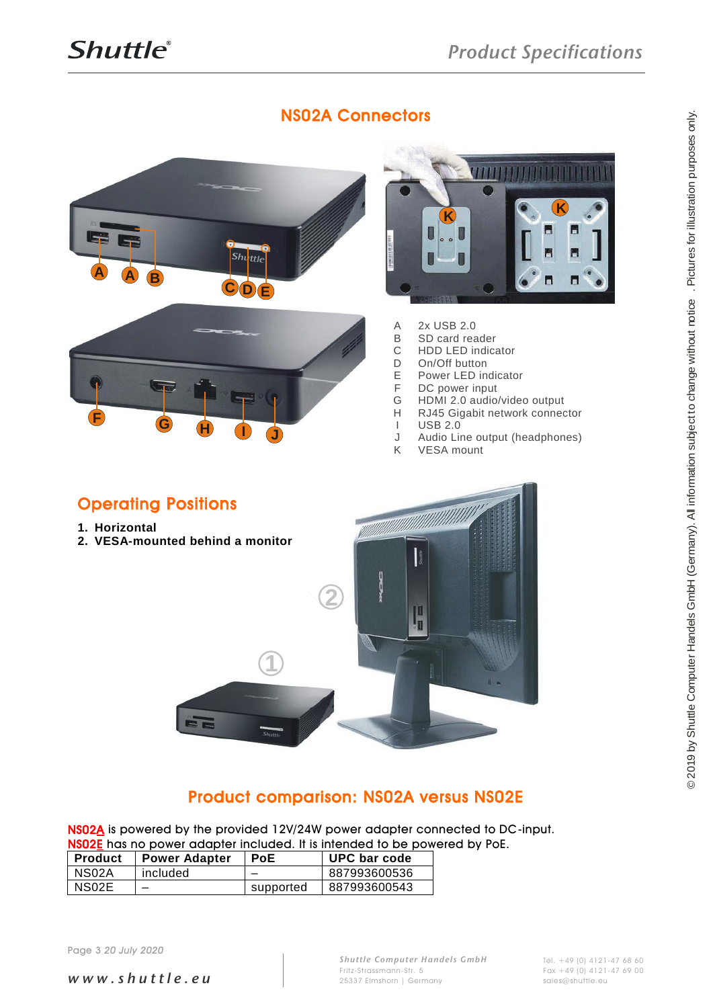





- A 2x USB 2.0<br>B SD card rea
- B SD card reader<br>C HDD LED indica
- C HDD LED indicator<br>D On/Off button
- D On/Off button<br>E Power LED in
- E Power LED indicator<br>F DC power input
- F DC power input<br>G HDMI 2.0 audio
- G HDMI 2.0 audio/video output<br>H RJ45 Gigabit network connect
- H RJ45 Gigabit network connector<br>I USB 2.0
- I USB 2.0<br>J Audio Lii
- J Audio Line output (headphones)<br>K VESA mount **VESA** mount
- 

#### Operating Positions

- **1. Horizontal**
- **2. VESA-mounted behind a monitor**



### Product comparison: NS02A versus NS02E

NS02A is powered by the provided 12V/24W power adapter connected to DC-input. NS02E has no power adapter included. It is intended to be powered by PoE.

| Product | <b>Power Adapter</b> | <b>PoE</b> | UPC bar code |
|---------|----------------------|------------|--------------|
| NS02A   | included             |            | 887993600536 |
| NS02E   |                      | supported  | 887993600543 |

*w w w . s h u t t l e . e u*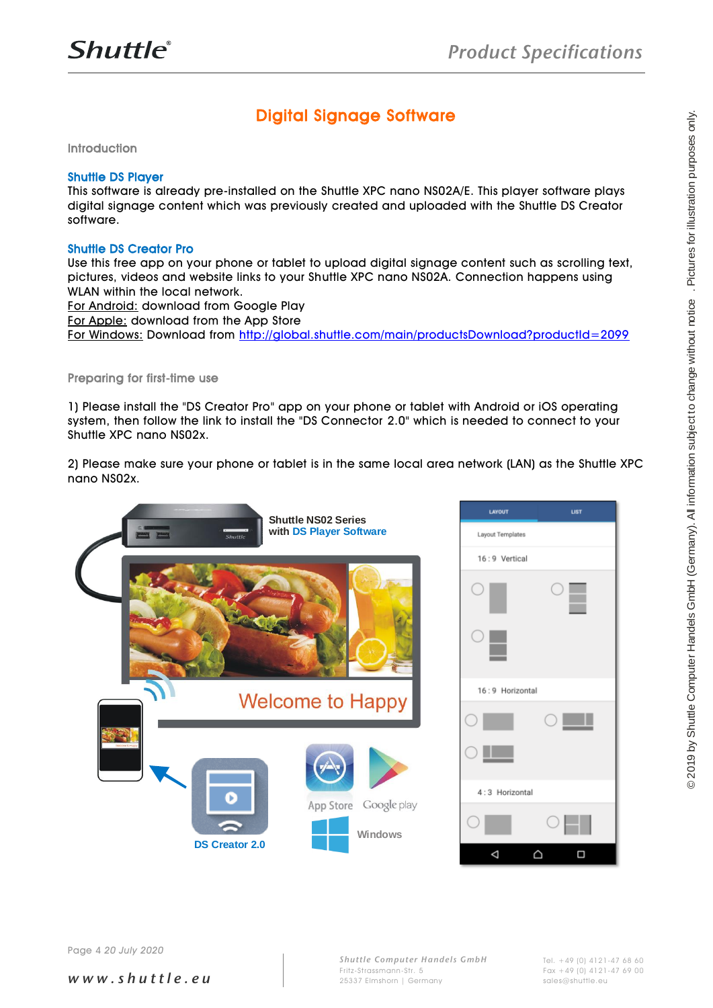### Digital Signage Software

Introduction

#### Shuttle DS Player

This software is already pre-installed on the Shuttle XPC nano NS02A/E. This player software plays digital signage content which was previously created and uploaded with the Shuttle DS Creator software.

#### Shuttle DS Creator Pro

Use this free app on your phone or tablet to upload digital signage content such as scrolling text, pictures, videos and website links to your Shuttle XPC nano NS02A. Connection happens using WLAN within the local network.

For Android: download from Google Play

For Apple: download from the App Store

For Windows: Download from<http://global.shuttle.com/main/productsDownload?productId=2099>

#### Preparing for first-time use

1) Please install the "DS Creator Pro" app on your phone or tablet with Android or iOS operating system, then follow the link to install the "DS Connector 2.0" which is needed to connect to your Shuttle XPC nano NS02x.

2) Please make sure your phone or tablet is in the same local area network (LAN) as the Shuttle XPC nano NS02x.

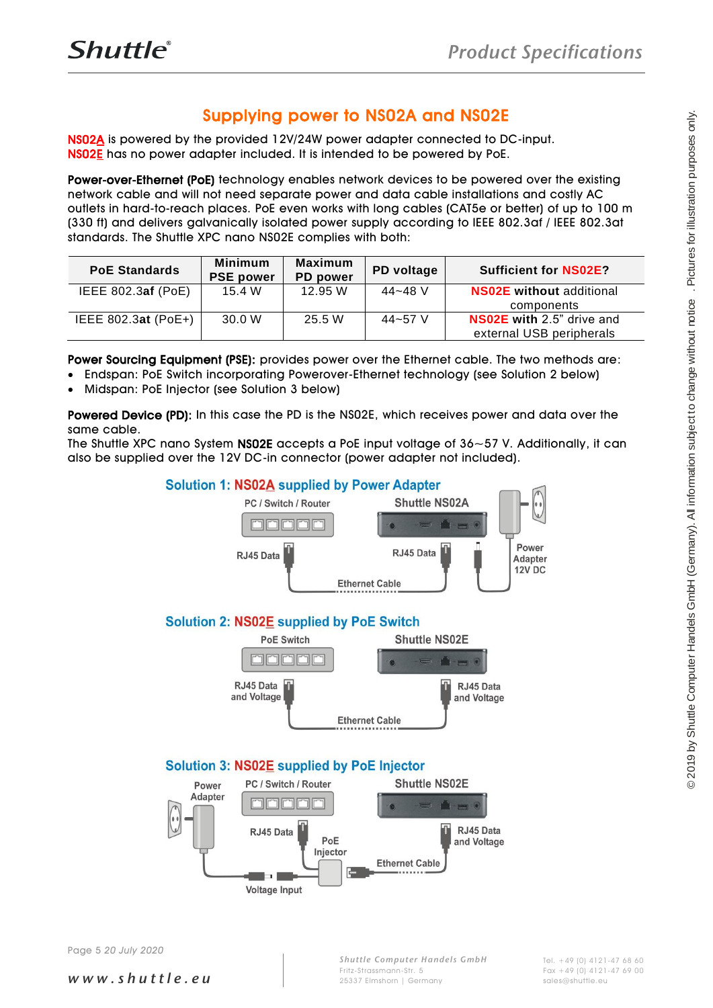#### Supplying power to NS02A and NS02E

NS02A is powered by the provided 12V/24W power adapter connected to DC-input. NS02E has no power adapter included. It is intended to be powered by PoE.

Power-over-Ethernet (PoE) technology enables network devices to be powered over the existing network cable and will not need separate power and data cable installations and costly AC outlets in hard-to-reach places. PoE even works with long cables (CAT5e or better) of up to 100 m (330 ft) and delivers galvanically isolated power supply according to IEEE 802.3af / IEEE 802.3at standards. The Shuttle XPC nano NS02E complies with both:

| <b>PoE Standards</b>  | <b>Minimum</b><br><b>PSE power</b> | Maximum<br><b>PD</b> power | PD voltage | <b>Sufficient for NS02E?</b>     |
|-----------------------|------------------------------------|----------------------------|------------|----------------------------------|
| IEEE $802.3af$ (PoE)  | 15.4 W                             | 12.95 W                    | 44~48 V    | <b>NS02E</b> without additional  |
|                       |                                    |                            |            | components                       |
| IEEE 802.3at $(PoE+)$ | 30.0 W                             | 25.5 W                     | 44~57 V    | <b>NS02E</b> with 2.5" drive and |
|                       |                                    |                            |            | external USB peripherals         |

Power Sourcing Equipment (PSE): provides power over the Ethernet cable. The two methods are:

- Endspan: PoE Switch incorporating Powerover-Ethernet technology (see Solution 2 below)
- Midspan: PoE Injector (see Solution 3 below)

Powered Device (PD): In this case the PD is the NS02E, which receives power and data over the same cable.

The Shuttle XPC nano System NS02E accepts a PoE input voltage of 36~57 V. Additionally, it can also be supplied over the 12V DC-in connector (power adapter not included).



*w w w . s h u t t l e . e u*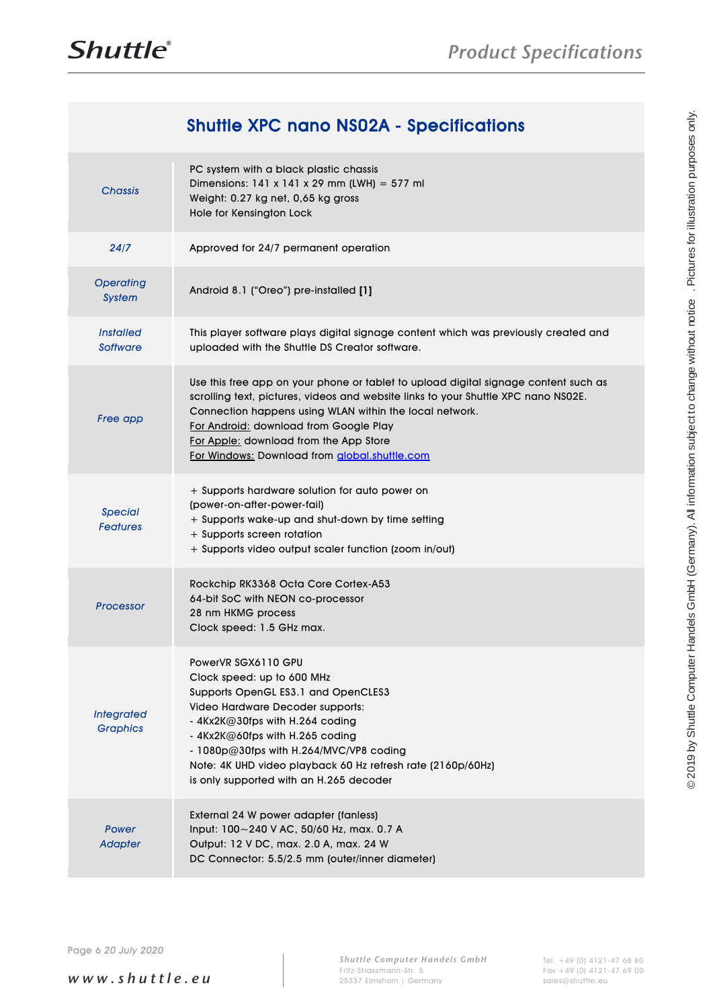## Shuttle XPC nano NS02A - Specifications

|                                            | <b>Shuttle XPC nano NS02A - Specifications</b>                                                                                                                                                                                                                                                                                                                            |  |
|--------------------------------------------|---------------------------------------------------------------------------------------------------------------------------------------------------------------------------------------------------------------------------------------------------------------------------------------------------------------------------------------------------------------------------|--|
| <b>Chassis</b>                             | PC system with a black plastic chassis<br>Dimensions: $141 \times 141 \times 29$ mm (LWH) = 577 ml<br>Weight: 0.27 kg net, 0,65 kg gross<br>Hole for Kensington Lock                                                                                                                                                                                                      |  |
| 24/7                                       | Approved for 24/7 permanent operation                                                                                                                                                                                                                                                                                                                                     |  |
| <b>Operating</b><br><b>System</b>          | Android 8.1 ("Oreo") pre-installed [1]                                                                                                                                                                                                                                                                                                                                    |  |
| <i><b>Installed</b></i><br><b>Software</b> | This player software plays digital signage content which was previously created and<br>uploaded with the Shuttle DS Creator software.                                                                                                                                                                                                                                     |  |
| Free app                                   | Use this free app on your phone or tablet to upload digital signage content such as<br>scrolling text, pictures, videos and website links to your Shuttle XPC nano NS02E.<br>Connection happens using WLAN within the local network.<br>For Android: download from Google Play<br>For Apple: download from the App Store<br>For Windows: Download from global.shuttle.com |  |
| <b>Special</b><br><b>Features</b>          | + Supports hardware solution for auto power on<br>(power-on-after-power-fail)<br>+ Supports wake-up and shut-down by time setting<br>+ Supports screen rotation<br>+ Supports video output scaler function (zoom in/out)                                                                                                                                                  |  |
| Processor                                  | Rockchip RK3368 Octa Core Cortex-A53<br>64-bit SoC with NEON co-processor<br>28 nm HKMG process<br>Clock speed: 1.5 GHz max.                                                                                                                                                                                                                                              |  |
| <b>Integrated</b><br><b>Graphics</b>       | PowerVR SGX6110 GPU<br>Clock speed: up to 600 MHz<br>Supports OpenGL ES3.1 and OpenCLES3<br>Video Hardware Decoder supports:<br>$-4$ Kx2K@30fps with H.264 coding<br>- 4Kx2K@60fps with H.265 coding<br>- 1080p@30fps with H.264/MVC/VP8 coding<br>Note: 4K UHD video playback 60 Hz refresh rate (2160p/60Hz)<br>is only supported with an H.265 decoder                 |  |
| Power<br><b>Adapter</b>                    | External 24 W power adapter (fanless)<br>Input: 100~240 V AC, 50/60 Hz, max. 0.7 A<br>Output: 12 V DC, max. 2.0 A, max. 24 W<br>DC Connector: 5.5/2.5 mm (outer/inner diameter)                                                                                                                                                                                           |  |
|                                            |                                                                                                                                                                                                                                                                                                                                                                           |  |
| Page 6 20 July 2020                        |                                                                                                                                                                                                                                                                                                                                                                           |  |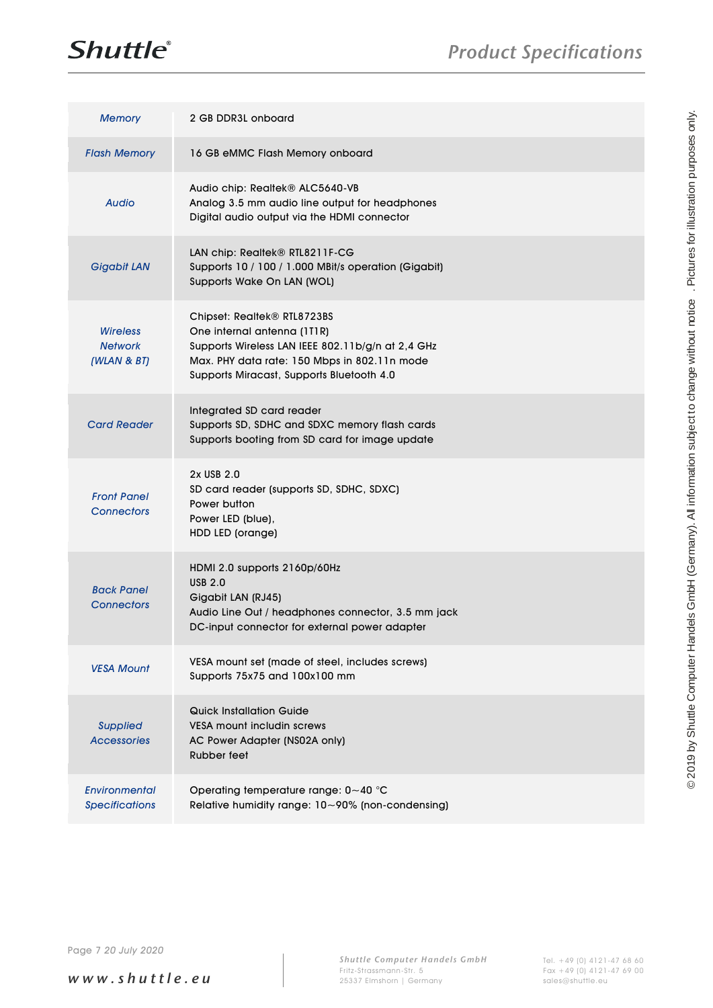

| <b>Memory</b>                                    | 2 GB DDR3L onboard                                                                                                                                                                                           |                                                                                                                                                |
|--------------------------------------------------|--------------------------------------------------------------------------------------------------------------------------------------------------------------------------------------------------------------|------------------------------------------------------------------------------------------------------------------------------------------------|
| <b>Flash Memory</b>                              | 16 GB eMMC Flash Memory onboard                                                                                                                                                                              |                                                                                                                                                |
| <b>Audio</b>                                     | Audio chip: Realtek® ALC5640-VB<br>Analog 3.5 mm audio line output for headphones<br>Digital audio output via the HDMI connector                                                                             |                                                                                                                                                |
| <b>Gigabit LAN</b>                               | LAN chip: Realtek® RTL8211F-CG<br>Supports 10 / 100 / 1.000 MBit/s operation (Gigabit)<br>Supports Wake On LAN (WOL)                                                                                         |                                                                                                                                                |
| <b>Wireless</b><br><b>Network</b><br>(WLAN & BT) | Chipset: Realtek® RTL8723BS<br>One internal antenna (1T1R)<br>Supports Wireless LAN IEEE 802.11b/g/n at 2,4 GHz<br>Max. PHY data rate: 150 Mbps in 802.11n mode<br>Supports Miracast, Supports Bluetooth 4.0 |                                                                                                                                                |
| <b>Card Reader</b>                               | Integrated SD card reader<br>Supports SD, SDHC and SDXC memory flash cards<br>Supports booting from SD card for image update                                                                                 |                                                                                                                                                |
| <b>Front Panel</b><br><b>Connectors</b>          | 2x USB 2.0<br>SD card reader (supports SD, SDHC, SDXC)<br>Power button<br>Power LED (blue),<br>HDD LED (orange)                                                                                              |                                                                                                                                                |
| <b>Back Panel</b><br><b>Connectors</b>           | HDMI 2.0 supports 2160p/60Hz<br><b>USB 2.0</b><br>Gigabit LAN (RJ45)<br>Audio Line Out / headphones connector, 3.5 mm jack<br>DC-input connector for external power adapter                                  | © 2019 by Shuttle Computer Handels GmbH (Germany). All information subject to change without notice . Pictures for illustration purposes only. |
| <b>VESA Mount</b>                                | VESA mount set (made of steel, includes screws)<br>Supports 75x75 and 100x100 mm                                                                                                                             |                                                                                                                                                |
| <b>Supplied</b><br><b>Accessories</b>            | <b>Quick Installation Guide</b><br>VESA mount includin screws<br>AC Power Adapter (NS02A only)<br>Rubber feet                                                                                                |                                                                                                                                                |
| Environmental<br><b>Specifications</b>           | Operating temperature range: 0~40 °C<br>Relative humidity range: 10~90% (non-condensing)                                                                                                                     |                                                                                                                                                |
|                                                  |                                                                                                                                                                                                              |                                                                                                                                                |
| Page 7 20 July 2020                              |                                                                                                                                                                                                              |                                                                                                                                                |

*w w w . s h u t t l e . e u*